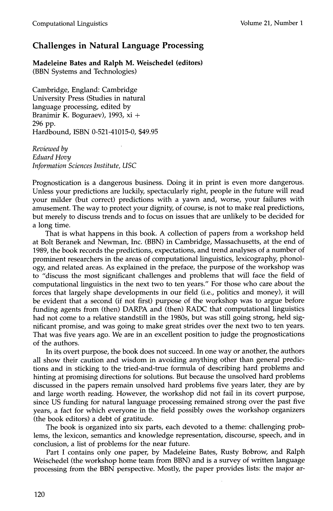## **Challenges in Natural Language Processing**

**Madeleine Bates and Ralph M. Weischedel (editors)**  (BBN Systems and Technologies)

Cambridge, England: Cambridge University Press (Studies in natural language processing, edited by Branimir K. Boguraev), 1993, xi + 296 pp. Hardbound, ISBN 0-521-41015-0, \$49.95

*Reviewed by Eduard Hovy Information Sciences Institute, USC* 

Prognostication is a dangerous business. Doing it in print is even more dangerous. Unless your predictions are luckily, spectacularly right, people in the future will read your milder (but correct) predictions with a yawn and, worse, your failures with amusement. The way to protect your dignity, of course, is not to make real predictions, but merely to discuss trends and to focus on issues that are unlikely to be decided for a long time.

That is what happens in this book. A collection of papers from a workshop held at Bolt Beranek and Newman, Inc. (BBN) in Cambridge, Massachusetts, at the end of 1989, the book records the predictions, expectations, and trend analyses of a number of prominent researchers in the areas of computational linguistics, lexicography, phonology, and related areas. As explained in the preface, the purpose of the workshop was to "discuss the most significant challenges and problems that will face the field of computational linguistics in the next two to ten years." For those who care about the forces that largely shape developments in our field (i.e., politics and money), it will be evident that a second (if not first) purpose of the workshop was to argue before funding agents from (then) DARPA and (then) RADC that computational linguistics had not come to a relative standstill in the 1980s, but was still going strong, held significant promise, and was going to make great strides over the next two to ten years. That was five years ago. We are in an excellent position to judge the prognostications of the authors.

In its overt purpose, the book does not succeed. In one way or another, the authors all show their caution and wisdom in avoiding anything other than general predictions and in sticking to the tried-and-true formula of describing hard problems and hinting at promising directions for solutions. But because the unsolved hard problems discussed in the papers remain unsolved hard problems five years later, they are by and large worth reading. However, the workshop did not fail in its covert purpose, since US funding for natural language processing remained strong over the past five years, a fact for which everyone in the field possibly owes the workshop organizers (the book editors) a debt of gratitude.

The book is organized into six parts, each devoted to a theme: challenging problems, the lexicon, semantics and knowledge representation, discourse, speech, and in conclusion, a list of problems for the near future.

Part I contains only one paper, by Madeleine Bates, Rusty Bobrow, and Ralph Weischedel (the workshop home team from BBN) and is a survey of written language processing from the BBN perspective. Mostly, the paper provides lists: the major ar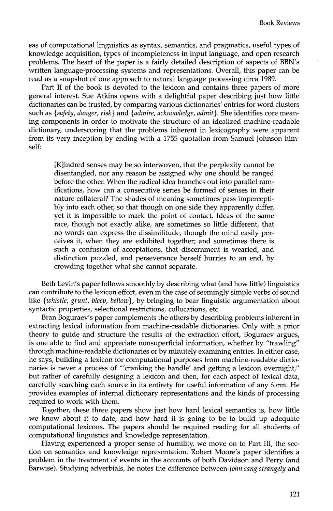eas of computational linguistics as syntax, semantics, and pragmatics, useful types of knowledge acquisition, types of incompleteness in input language, and open research problems. The heart of the paper is a fairly detailed description of aspects of BBN's written language-processing systems and representations. Overall, this paper can be read as a snapshot of one approach to natural language processing circa 1989.

Part II of the book is devoted to the lexicon and contains three papers of more general interest. Sue Atkins opens with a delightful paper describing just how little dictionaries can be trusted, by comparing various dictionaries' entries for word clusters such as *{safety, danger, risk}* and *{admire, acknowledge, admit}.* She identifies core meaning components in order to motivate the structure of an idealized machine-readable dictionary, underscoring that the problems inherent in lexicography were apparent from its very inception by ending with a 1755 quotation from Samuel Johnson himself:

[K]indred senses may be so interwoven, that the perplexity cannot be disentangled, nor any reason be assigned why one should be ranged before the other. When the radical idea branches out into parallel ramifications, how can a consecutive series be formed of senses in their nature collateral? The shades of meaning sometimes pass imperceptibly into each other, so that though on one side they apparently differ, yet it is impossible to mark the point of contact. Ideas of the same race, though not exactly alike, are sometimes so little different, that no words can express the dissimilitude, though the mind easily perceives it, when they are exhibited together; and sometimes there is such a confusion of acceptations, that discernment is wearied, and distinction puzzled, and perseverance herself hurries to an end, by crowding together what she cannot separate.

Beth Levin's paper follows smoothly by describing what (and how little) linguistics can contribute to the lexicon effort, even in the case of seemingly simple verbs of sound like *{whistle, grunt, bleep, bellow},* by bringing to bear linguistic argumentation about syntactic properties, selectional restrictions, collocations, etc.

Bran Boguraev's paper complements the others by describing problems inherent in extracting lexical information from machine-readable dictionaries. Only with a prior theory to guide and structure the results of the extraction effort, Boguraev argues, is one able to find and appreciate nonsuperficial information, whether by "trawling" through machine-readable dictionaries or by minutely examining entries. In either case, he says, building a lexicon for computational purposes from machine-readable dictionaries is never a process of "'cranking the handle' and getting a lexicon overnight," but rather of carefully designing a lexicon and then, for each aspect of lexical data, carefully searching each source in its entirety for useful information of any form. He provides examples of internal dictionary representations and the kinds of processing required to work with them.

Together, these three papers show just how hard lexical semantics is, how little we know about it to date, and how hard it is going to be to build up adequate computational lexicons. The papers should be required reading for all students of computational linguistics and knowledge representation.

Having experienced a proper sense of humility, we move on to Part III, the section on semantics and knowledge representation. Robert Moore's paper identifies a problem in the treatment of events in the accounts of both Davidson and Perry (and Barwise). Studying adverbials, he notes the difference between *John sang strangely* and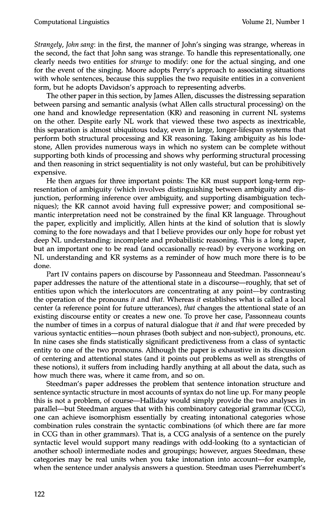*Strangely, John sang:* in the first, the manner of John's singing was strange, whereas in the second, the fact that John sang was strange. To handle this representationally, one clearly needs two entities for *strange* to modify: one for the actual singing, and one for the event of the singing. Moore adopts Perry's approach to associating situations with whole sentences, because this supplies the two requisite entities in a convenient form, but he adopts Davidson's approach to representing adverbs.

The other paper in this section, by James Allen, discusses the distressing separation between parsing and semantic analysis (what Allen calls structural processing) on the one hand and knowledge representation (KR) and reasoning in current NL systems on the other. Despite early NL work that viewed these two aspects as inextricable, this separation is almost ubiquitous today, even in large, longer-lifespan systems that perform both structural processing and KR reasoning. Taking ambiguity as his lodestone, Allen provides numerous ways in which no system can be complete without supporting both kinds of processing and shows why performing structural processing and then reasoning in strict sequentiality is not only wasteful, but can be prohibitively expensive.

He then argues for three important points: The KR must support long-term representation of ambiguity (which involves distinguishing between ambiguity and disjunction, performing inference over ambiguity, and supporting disambiguation techniques); the KR cannot avoid having full expressive power; and compositional semantic interpretation need not be constrained by the final KR language. Throughout the paper, explicitly and implicitly, Allen hints at the kind of solution that is slowly coming to the fore nowadays and that I believe provides our only hope for robust yet deep NL understanding: incomplete and probabilistic reasoning. This is a long paper, but an important one to be read (and occasionally re-read) by everyone working on NL understanding and KR systems as a reminder of how much more there is to be done.

Part IV contains papers on discourse by Passonneau and Steedman. Passonneau's paper addresses the nature of the attentional state in a discourse—roughly, that set of entities upon which the interlocutors are concentrating at any point--by contrasting the operation of the pronouns *it* and *that.* Whereas *it* establishes what is called a local center (a reference point for future utterances), *that* changes the attentional state of an existing discourse entity or creates a new one. To prove her case, Passonneau counts the number of times in a corpus of natural dialogue that *it* and *that* were preceded by various syntactic entities--noun phrases (both subject and non-subject), pronouns, etc. In nine cases she finds statistically significant predictiveness from a class of syntactic entity to one of the two pronouns. Although the paper is exhaustive in its discussion of centering and attentional states (and it points out problems as well as strengths of these notions), it suffers from including hardly anything at all about the data, such as how much there was, where it came from, and so on.

Steedman's paper addresses the problem that sentence intonation structure and sentence syntactic structure in most accounts of syntax do not line up. For many people this is not a problem, of course—Halliday would simply provide the two analyses in parallel--but Steedman argues that with his combinatory categorial grammar (CCG), one can achieve isomorphism essentially by creating intonational categories whose combination rules constrain the syntactic combinations (of which there are far more in CCG than in other grammars). That is, a CCG analysis of a sentence on the purely syntactic level would support many readings with odd-looking (to a syntactician of another school) intermediate nodes and groupings; however, argues Steedman, these categories may be real units when you take intonation into account--for example, when the sentence under analysis answers a question. Steedman uses Pierrehumbert's